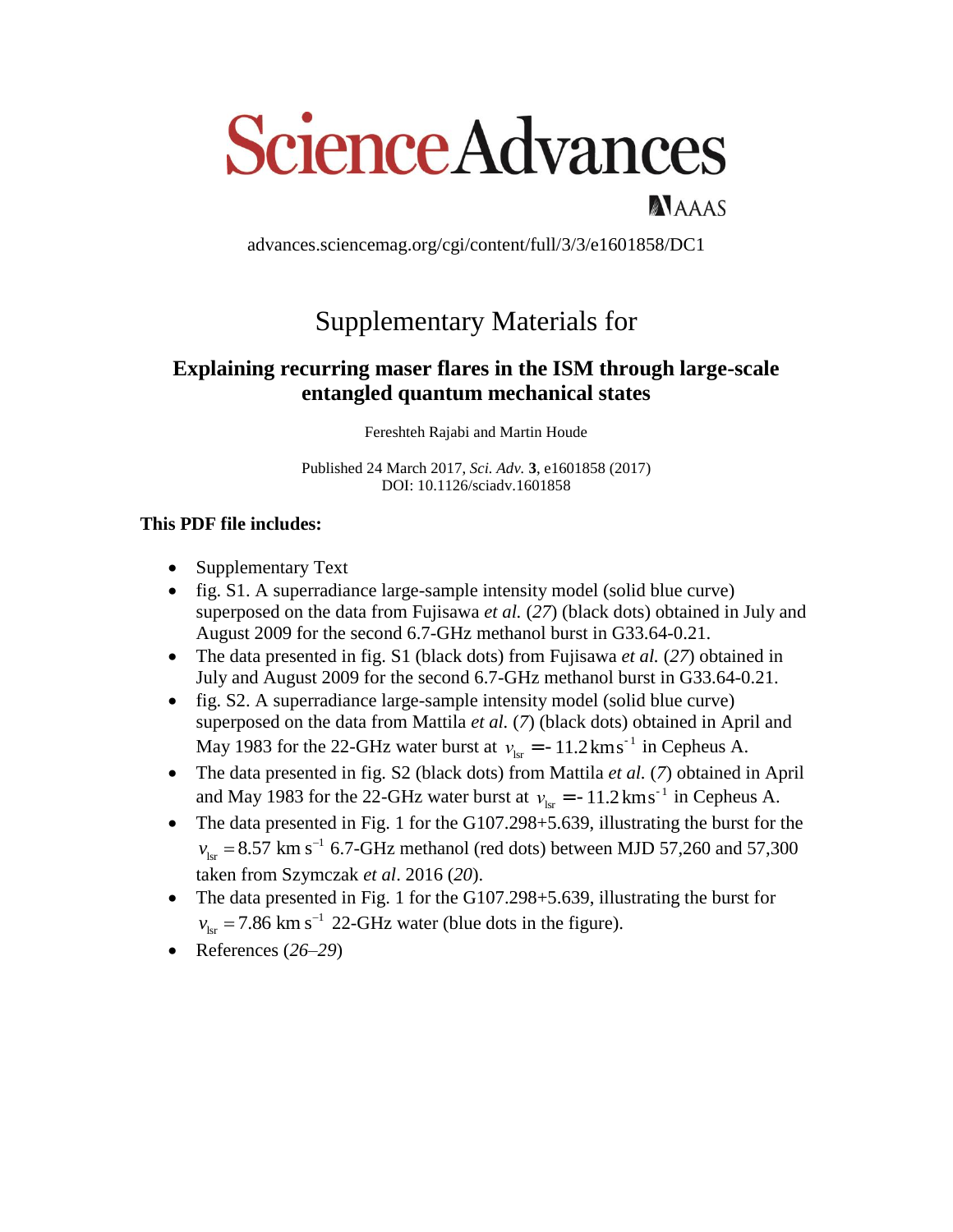# **Science Advances**

advances.sciencemag.org/cgi/content/full/3/3/e1601858/DC1

NAAAS

# Supplementary Materials for

# **Explaining recurring maser flares in the ISM through large-scale entangled quantum mechanical states**

Fereshteh Rajabi and Martin Houde

Published 24 March 2017, *Sci. Adv.* **3**, e1601858 (2017) DOI: 10.1126/sciadv.1601858

## **This PDF file includes:**

- Supplementary Text
- fig. S1. A superradiance large-sample intensity model (solid blue curve) superposed on the data from Fujisawa *et al.* (*27*) (black dots) obtained in July and August 2009 for the second 6.7-GHz methanol burst in G33.64-0.21.
- The data presented in fig. S1 (black dots) from Fujisawa *et al.* (*27*) obtained in July and August 2009 for the second 6.7-GHz methanol burst in G33.64-0.21.
- fig. S2. A superradiance large-sample intensity model (solid blue curve) superposed on the data from Mattila *et al.* (*7*) (black dots) obtained in April and May 1983 for the 22-GHz water burst at  $v_{\text{lsr}} = -11.2 \text{ km s}^{-1}$  in Cepheus A.
- The data presented in fig. S2 (black dots) from Mattila *et al.* (*7*) obtained in April and May 1983 for the 22-GHz water burst at  $v_{\text{lsr}} = -11.2 \text{ km s}^{-1}$  in Cepheus A.
- The data presented in Fig. 1 for the G107.298+5.639, illustrating the burst for the  $v_{\text{lsr}} = 8.57 \text{ km s}^{-1}$  6.7-GHz methanol (red dots) between MJD 57,260 and 57,300 taken from Szymczak *et al*. 2016 (*20*).
- The data presented in Fig. 1 for the G107.298+5.639, illustrating the burst for  $v_{\text{lsr}} = 7.86 \text{ km s}^{-1}$  22-GHz water (blue dots in the figure).
- References (*26*–*29*)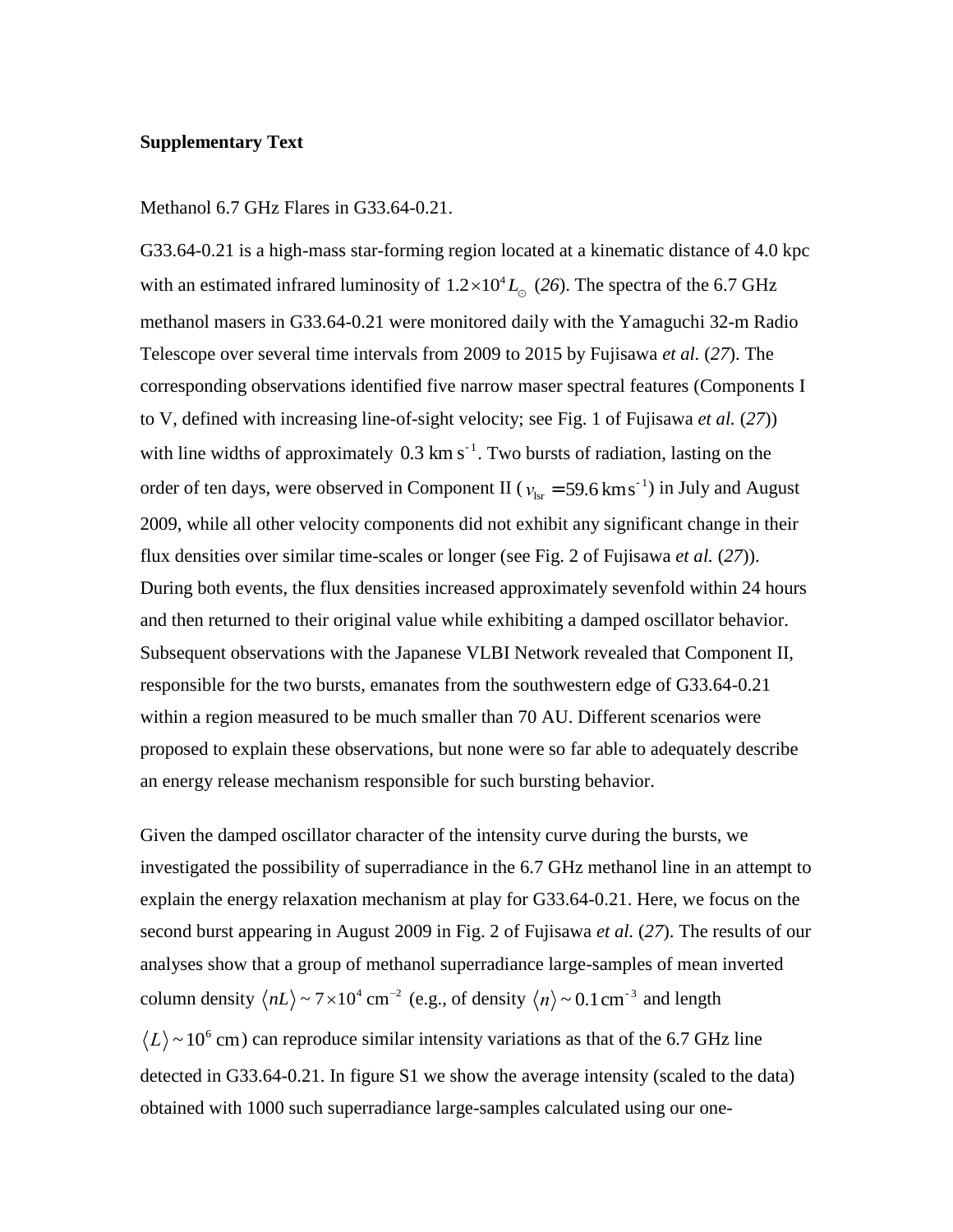### **Supplementary Text**

### Methanol 6.7 GHz Flares in G33.64-0.21.

G33.64-0.21 is a high-mass star-forming region located at a kinematic distance of 4.0 kpc with an estimated infrared luminosity of  $1.2 \times 10^4 L_{\odot}$  (26). The spectra of the 6.7 GHz methanol masers in G33.64-0.21 were monitored daily with the Yamaguchi 32-m Radio Telescope over several time intervals from 2009 to 2015 by Fujisawa *et al.* (*27*). The corresponding observations identified five narrow maser spectral features (Components I to V, defined with increasing line-of-sight velocity; see Fig. 1 of Fujisawa *et al.* (*27*)) with line widths of approximately  $0.3 \text{ km s}^{-1}$ . Two bursts of radiation, lasting on the order of ten days, were observed in Component II ( $v_{\text{lsr}} = 59.6 \text{ km s}^{-1}$ ) in July and August 2009, while all other velocity components did not exhibit any significant change in their flux densities over similar time-scales or longer (see Fig. 2 of Fujisawa *et al.* (*27*)). During both events, the flux densities increased approximately sevenfold within 24 hours and then returned to their original value while exhibiting a damped oscillator behavior. Subsequent observations with the Japanese VLBI Network revealed that Component II, responsible for the two bursts, emanates from the southwestern edge of G33.64-0.21 within a region measured to be much smaller than 70 AU. Different scenarios were proposed to explain these observations, but none were so far able to adequately describe an energy release mechanism responsible for such bursting behavior.

Given the damped oscillator character of the intensity curve during the bursts, we investigated the possibility of superradiance in the 6.7 GHz methanol line in an attempt to explain the energy relaxation mechanism at play for G33.64-0.21. Here, we focus on the second burst appearing in August 2009 in Fig. 2 of Fujisawa *et al.* (*27*). The results of our analyses show that a group of methanol superradiance large-samples of mean inverted column density  $\langle nL \rangle \sim 7 \times 10^4$  cm<sup>-2</sup> (e.g., of density  $\langle n \rangle \sim 0.1$  cm<sup>-3</sup> and length  $L$   $\sim$  10<sup>6</sup> cm) can reproduce similar intensity variations as that of the 6.7 GHz line detected in G33.64-0.21. In figure S1 we show the average intensity (scaled to the data) obtained with 1000 such superradiance large-samples calculated using our one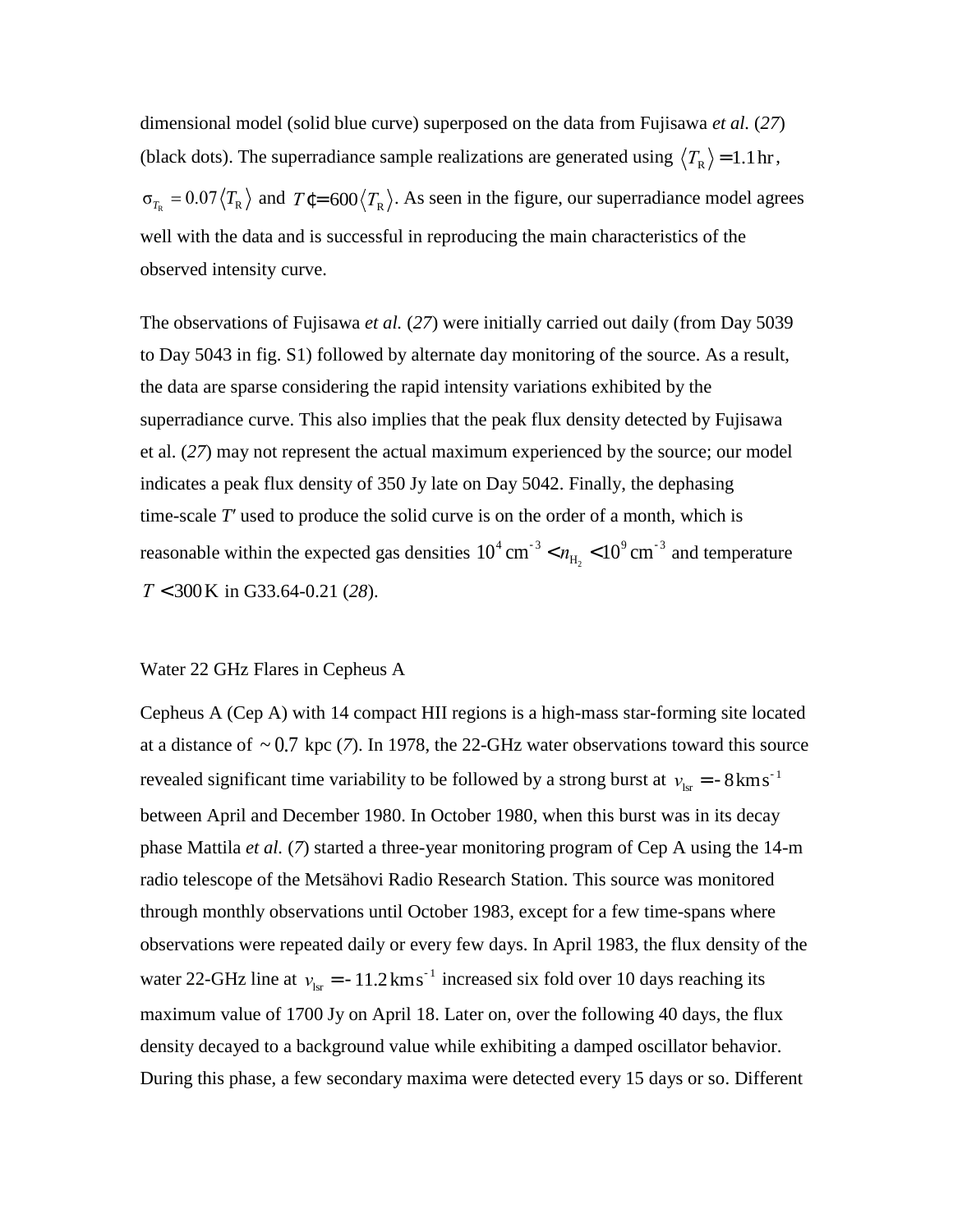dimensional model (solid blue curve) superposed on the data from Fujisawa *et al.* (*27*) (black dots). The superradiance sample realizations are generated using  $\langle T_R \rangle$  = 1.1hr,  $\sigma_{T_R} = 0.07 \langle T_R \rangle$  and  $T \in 600 \langle T_R \rangle$ . As seen in the figure, our superradiance model agrees well with the data and is successful in reproducing the main characteristics of the observed intensity curve.

The observations of Fujisawa *et al.* (*27*) were initially carried out daily (from Day 5039 to Day 5043 in fig. S1) followed by alternate day monitoring of the source. As a result, the data are sparse considering the rapid intensity variations exhibited by the superradiance curve. This also implies that the peak flux density detected by Fujisawa et al. (*27*) may not represent the actual maximum experienced by the source; our model indicates a peak flux density of 350 Jy late on Day 5042. Finally, the dephasing time-scale *T*′ used to produce the solid curve is on the order of a month, which is reasonable within the expected gas densities  $10^4 \text{ cm}^{-3} < n_{\text{H}_2} < 10^9 \text{ cm}^{-3}$  and temperature *T* < 300K in G33.64-0.21 (*28*).

#### Water 22 GHz Flares in Cepheus A

Cepheus A (Cep A) with 14 compact HII regions is a high-mass star-forming site located at a distance of  $\sim 0.7$  kpc (7). In 1978, the 22-GHz water observations toward this source revealed significant time variability to be followed by a strong burst at  $v_{\text{lsr}} = -8 \text{km s}^{-1}$ between April and December 1980. In October 1980, when this burst was in its decay phase Mattila *et al.* (*7*) started a three-year monitoring program of Cep A using the 14-m radio telescope of the Metsähovi Radio Research Station. This source was monitored through monthly observations until October 1983, except for a few time-spans where observations were repeated daily or every few days. In April 1983, the flux density of the water 22-GHz line at  $v_{\text{lsr}} = -11.2 \text{ km s}^{-1}$  increased six fold over 10 days reaching its maximum value of 1700 Jy on April 18. Later on, over the following 40 days, the flux density decayed to a background value while exhibiting a damped oscillator behavior. During this phase, a few secondary maxima were detected every 15 days or so. Different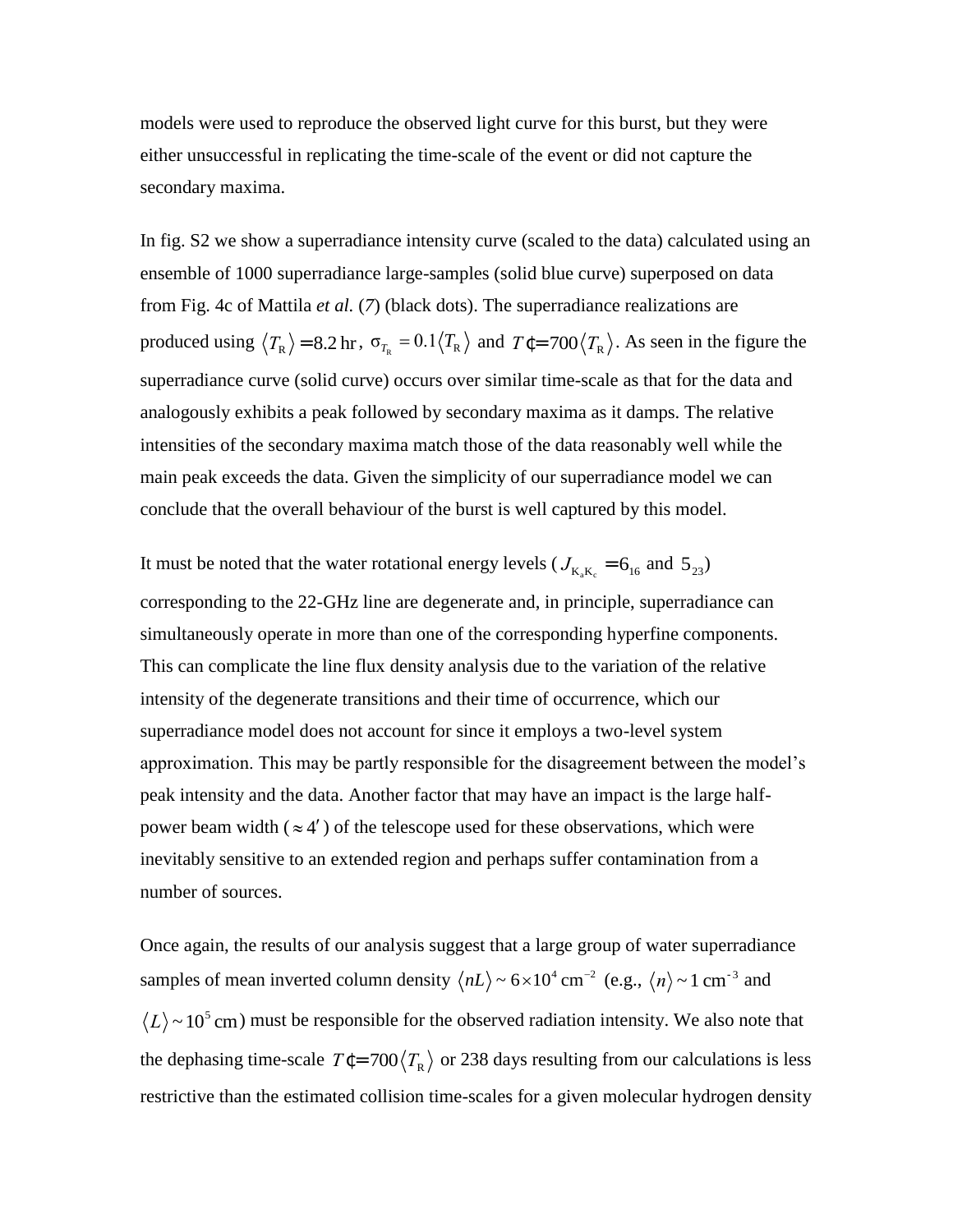models were used to reproduce the observed light curve for this burst, but they were either unsuccessful in replicating the time-scale of the event or did not capture the secondary maxima.

In fig. S2 we show a superradiance intensity curve (scaled to the data) calculated using an ensemble of 1000 superradiance large-samples (solid blue curve) superposed on data from Fig. 4c of Mattila *et al.* (*7*) (black dots). The superradiance realizations are produced using  $\langle T_R \rangle$  = 8.2 hr,  $\sigma_{T_R}$  = 0.1 $\langle T_R \rangle$  and  $T \in 700 \langle T_R \rangle$ . As seen in the figure the superradiance curve (solid curve) occurs over similar time-scale as that for the data and analogously exhibits a peak followed by secondary maxima as it damps. The relative intensities of the secondary maxima match those of the data reasonably well while the main peak exceeds the data. Given the simplicity of our superradiance model we can conclude that the overall behaviour of the burst is well captured by this model.

It must be noted that the water rotational energy levels ( $J_{K_aK_c} = 6_{16}$  and  $5_{23}$ ) corresponding to the 22-GHz line are degenerate and, in principle, superradiance can simultaneously operate in more than one of the corresponding hyperfine components. This can complicate the line flux density analysis due to the variation of the relative intensity of the degenerate transitions and their time of occurrence, which our superradiance model does not account for since it employs a two-level system approximation. This may be partly responsible for the disagreement between the model's peak intensity and the data. Another factor that may have an impact is the large halfpower beam width  $(\approx 4')$  of the telescope used for these observations, which were inevitably sensitive to an extended region and perhaps suffer contamination from a number of sources.

Once again, the results of our analysis suggest that a large group of water superradiance samples of mean inverted column density  $\langle nL \rangle \sim 6 \times 10^4$  cm<sup>-2</sup> (e.g.,  $\langle n \rangle \sim 1$  cm<sup>-3</sup> and  $L$   $\sim$  10<sup>5</sup> cm) must be responsible for the observed radiation intensity. We also note that the dephasing time-scale  $T\ell = 700 \langle T_R \rangle$  or 238 days resulting from our calculations is less restrictive than the estimated collision time-scales for a given molecular hydrogen density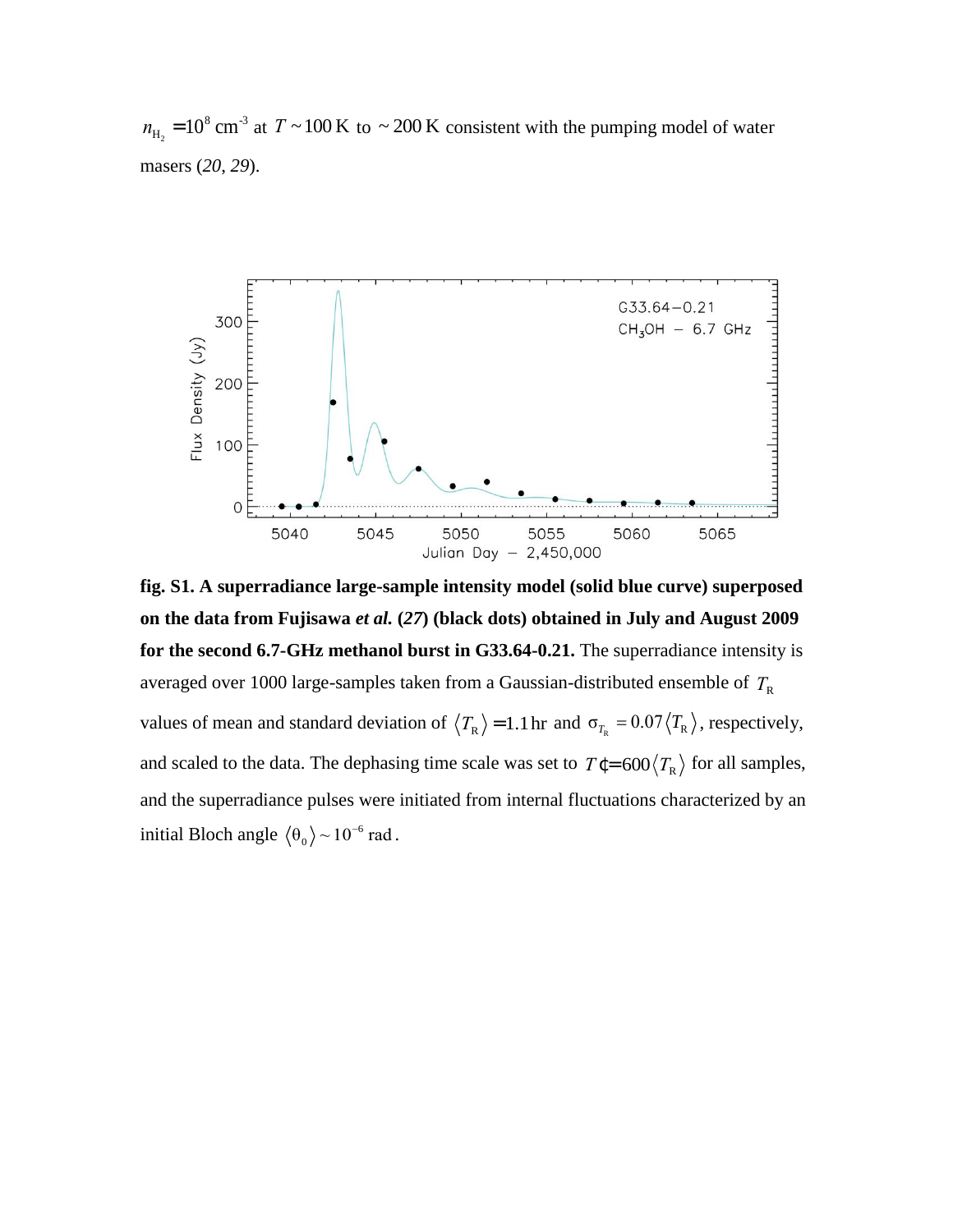$n_{\text{H}_2}$  = 10<sup>8</sup> cm<sup>-3</sup> at  $T \sim 100 \text{ K}$  to  $\sim 200 \text{ K}$  consistent with the pumping model of water masers (*20*, *29*).



**fig. S1. A superradiance large-sample intensity model (solid blue curve) superposed on the data from Fujisawa** *et al.* **(***27***) (black dots) obtained in July and August 2009 for the second 6.7-GHz methanol burst in G33.64-0.21.** The superradiance intensity is averaged over 1000 large-samples taken from a Gaussian-distributed ensemble of  $T_{\textrm{\tiny R}}$ values of mean and standard deviation of  $\langle T_R \rangle$  = 1.1 hr and  $\sigma_{T_R}$  = 0.07 $\langle T_R \rangle$ , respectively, and scaled to the data. The dephasing time scale was set to  $T \epsilon = 600 \langle T_R \rangle$  for all samples, and the superradiance pulses were initiated from internal fluctuations characterized by an initial Bloch angle  $\langle \theta_0 \rangle \sim 10^{-6}$  $\ket{\theta_0}$  ~ 10<sup>-6</sup> rad.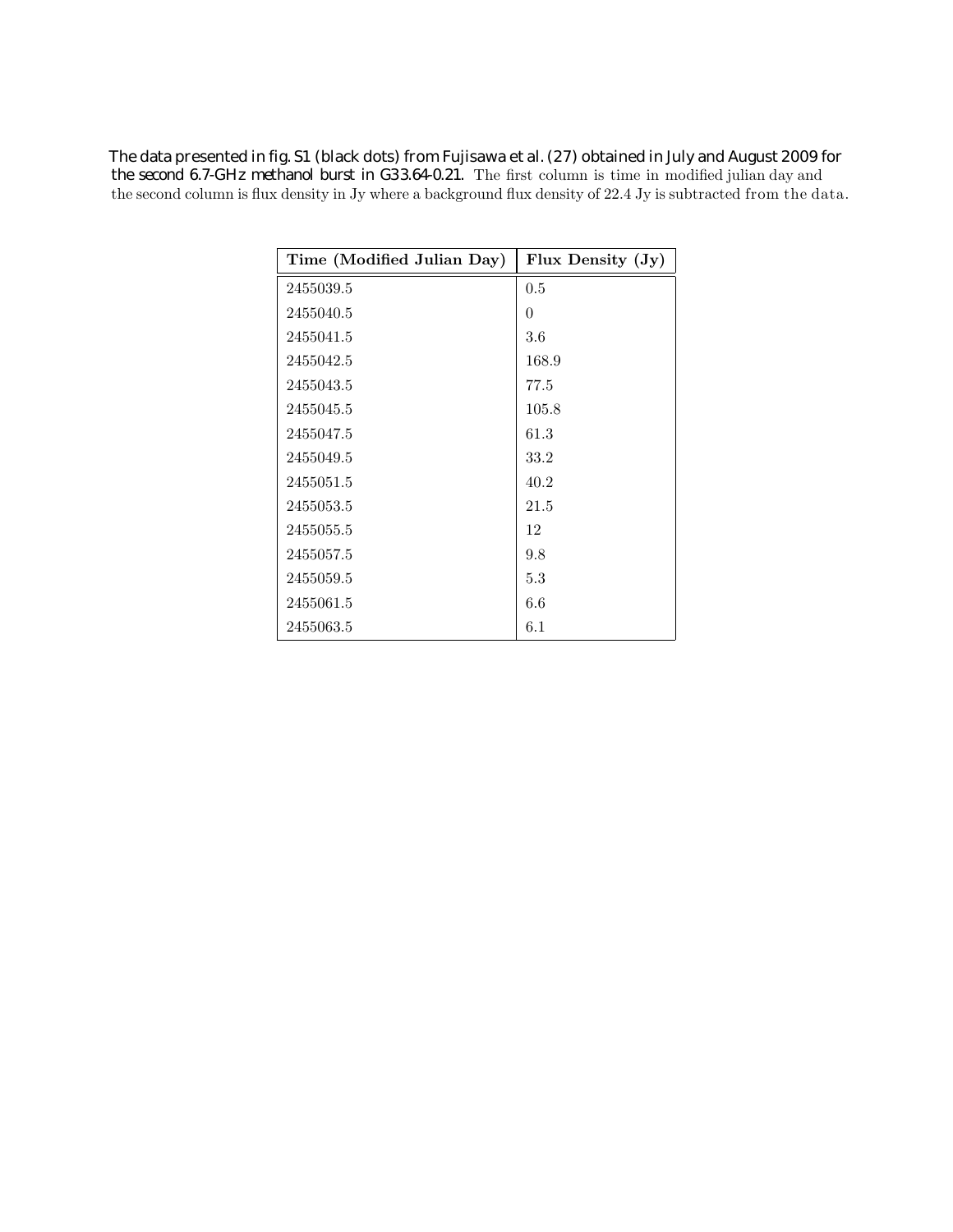**The data presented in fig. S1 (black dots) from Fujisawa et al. (27) obtained in July and August 2009 for**

**the second 6.7-GHz methanol burst in G33.64-0.21.** The first column is time in modified julian day and the second column is flux density in Jy where a background flux density of 22.4 Jy is subtracted from the data.

| Time (Modified Julian Day) | Flux Density (Jy) |
|----------------------------|-------------------|
| 2455039.5                  | 0.5               |
| 2455040.5                  | $\theta$          |
| 2455041.5                  | $3.6\,$           |
| 2455042.5                  | 168.9             |
| 2455043.5                  | 77.5              |
| 2455045.5                  | 105.8             |
| 2455047.5                  | 61.3              |
| 2455049.5                  | 33.2              |
| 2455051.5                  | 40.2              |
| 2455053.5                  | 21.5              |
| 2455055.5                  | 12                |
| 2455057.5                  | 9.8               |
| 2455059.5                  | 5.3               |
| 2455061.5                  | 6.6               |
| 2455063.5                  | 6.1               |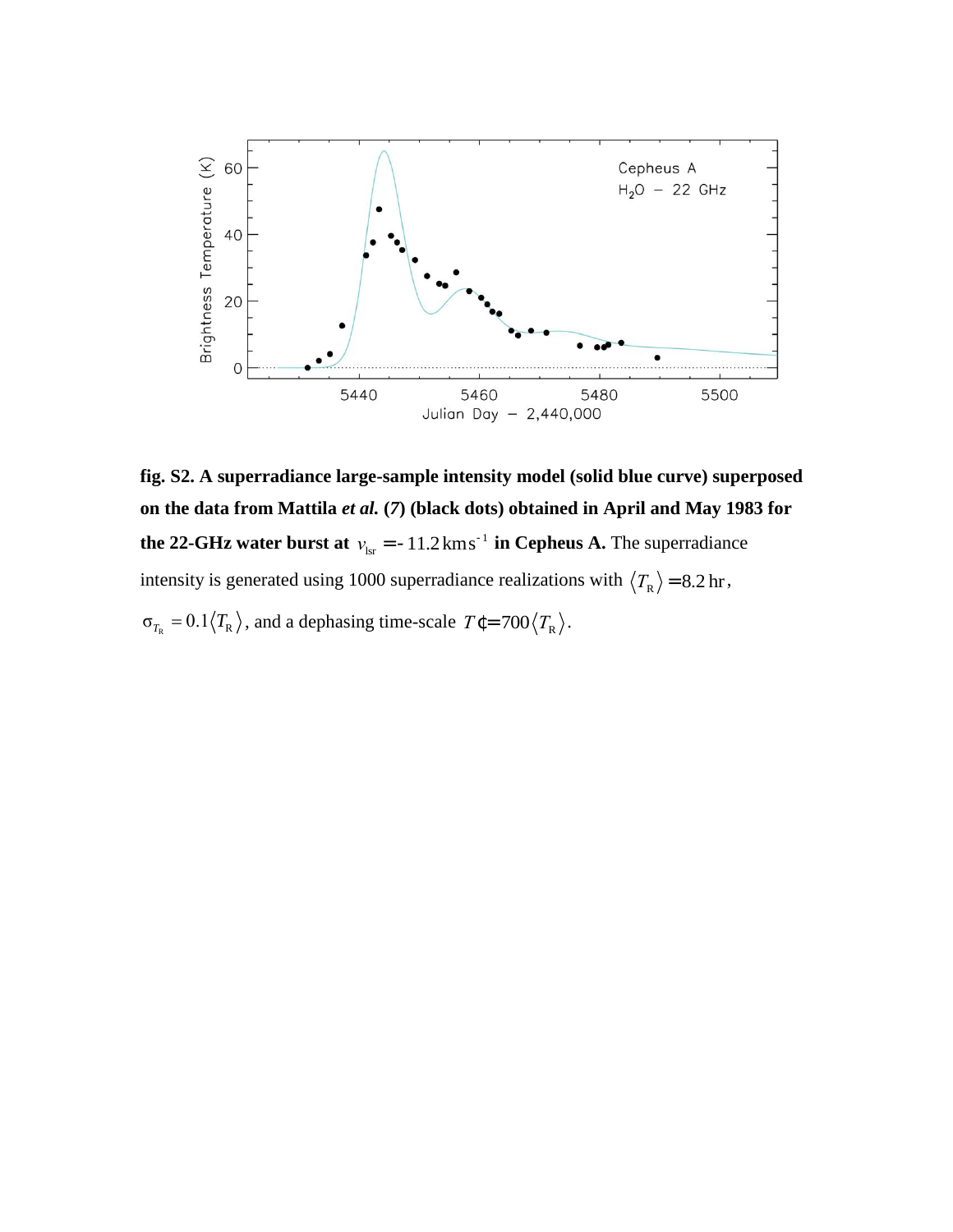

**fig. S2. A superradiance large-sample intensity model (solid blue curve) superposed on the data from Mattila** *et al.* **(***7***) (black dots) obtained in April and May 1983 for the 22-GHz water burst at**  $v_{\text{lsr}} = -11.2 \text{ km s}^{-1}$  **in Cepheus A.** The superradiance intensity is generated using 1000 superradiance realizations with  $\langle T_R \rangle$  = 8.2 hr,

 $\sigma_{T_R} = 0.1 \langle T_R \rangle$ , and a dephasing time-scale  $T \epsilon = 700 \langle T_R \rangle$ .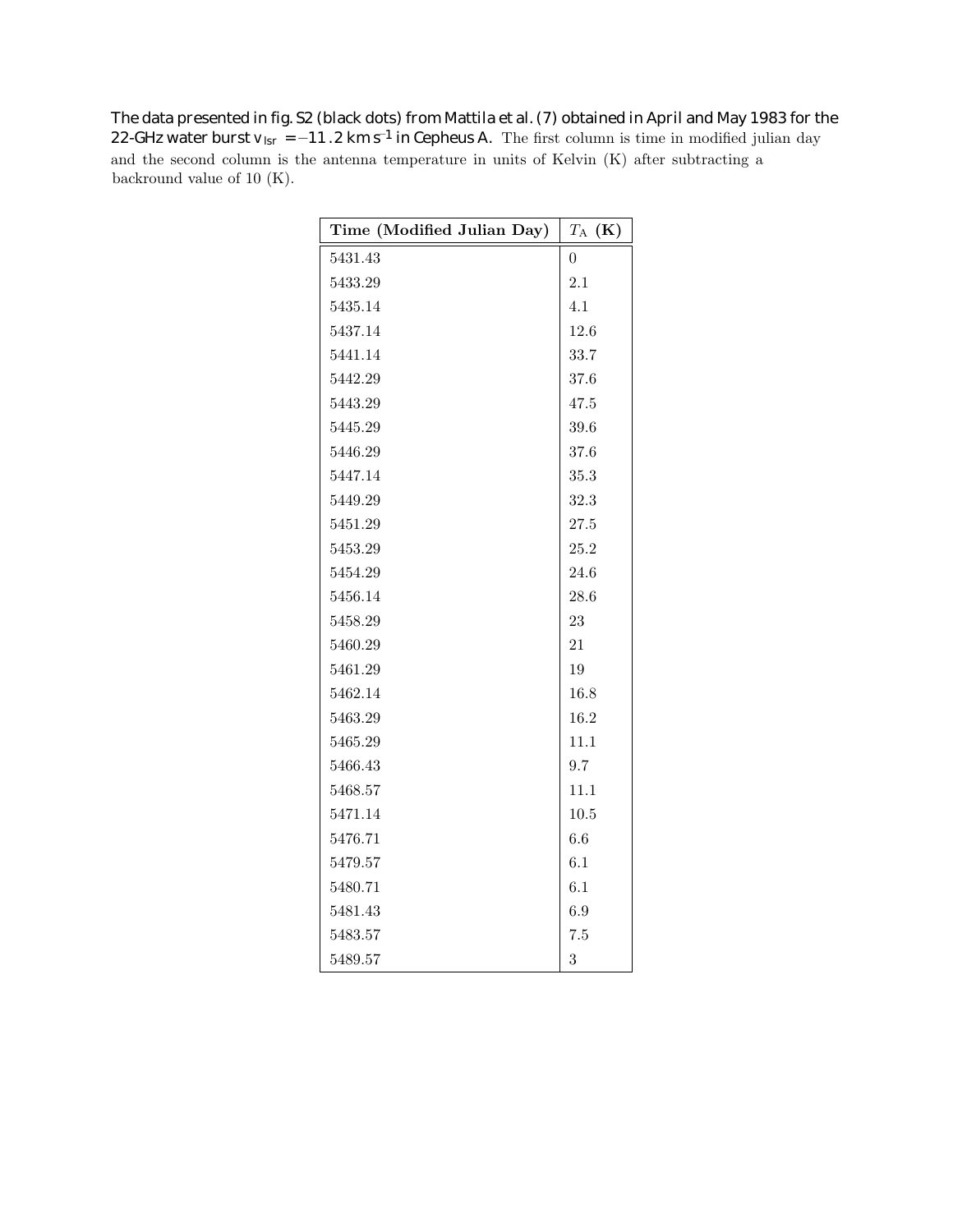**22-GHz water burst**  $v_{\text{lsr}} = -11.2 \text{ km s}^{-1}$  **in Cepheus A.** The first column is time in modified julian day and the second column is the antenna temperature in units of Kelvin (K) after subtracting a backround value of 10 (K). **The data presented in fig. S2 (black dots) from Mattila et al. (7) obtained in April and May 1983 for the**

| Time (Modified Julian Day) | $T_{\rm A}$ (K) |
|----------------------------|-----------------|
| 5431.43                    | 0               |
| 5433.29                    | 2.1             |
| 5435.14                    | 4.1             |
| 5437.14                    | 12.6            |
| 5441.14                    | 33.7            |
| 5442.29                    | 37.6            |
| 5443.29                    | 47.5            |
| 5445.29                    | 39.6            |
| 5446.29                    | 37.6            |
| 5447.14                    | 35.3            |
| 5449.29                    | 32.3            |
| 5451.29                    | $27.5\,$        |
| 5453.29                    | 25.2            |
| 5454.29                    | 24.6            |
| 5456.14                    | 28.6            |
| 5458.29                    | 23              |
| 5460.29                    | 21              |
| 5461.29                    | 19              |
| 5462.14                    | 16.8            |
| 5463.29                    | 16.2            |
| 5465.29                    | 11.1            |
| 5466.43                    | 9.7             |
| 5468.57                    | 11.1            |
| 5471.14                    | 10.5            |
| 5476.71                    | 6.6             |
| 5479.57                    | 6.1             |
| 5480.71                    | 6.1             |
| 5481.43                    | 6.9             |
| 5483.57                    | 7.5             |
| 5489.57                    | 3               |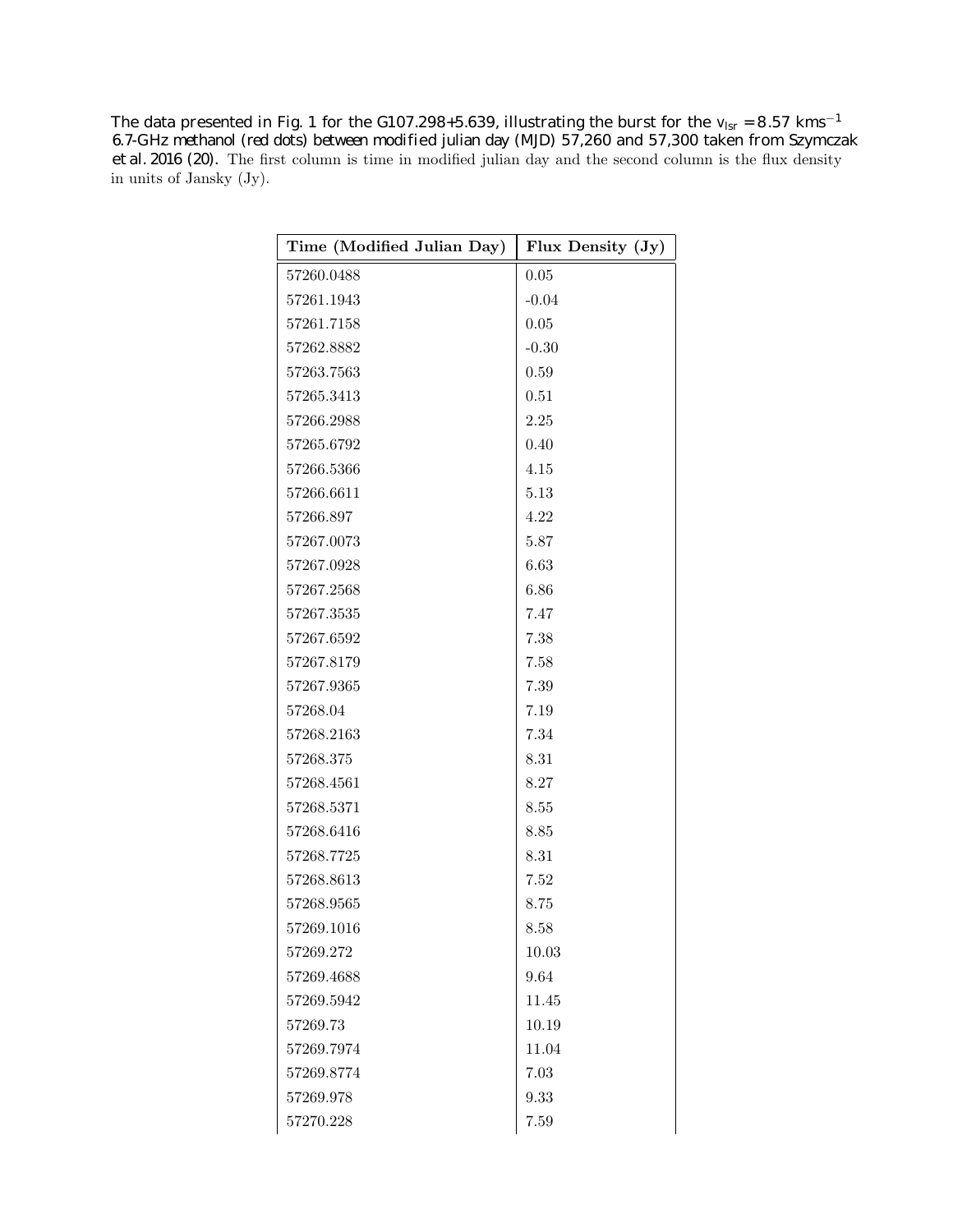<code>The data presented in Fig. 1 for the G107.298+5.639, illustrating the burst for the  $\rm v_{lsr}$  = 8.57 kms $^{-1}$ </code> **6.7-G Hz methanol (red dots) between mod ulian day (MJD) 57,260 and 57,300 taken from Szymczak ified j 2016 (20).** The first column is time in modified julian day and the second column is the flux density **et al.**in units of Jansky (Jy).

| Time (Modified Julian Day) | Flux Density (Jy) |
|----------------------------|-------------------|
| 57260.0488                 | 0.05              |
| 57261.1943                 | $-0.04$           |
| 57261.7158                 | 0.05              |
| 57262.8882                 | $-0.30$           |
| 57263.7563                 | 0.59              |
| 57265.3413                 | 0.51              |
| 57266.2988                 | 2.25              |
| 57265.6792                 | 0.40              |
| 57266.5366                 | 4.15              |
| 57266.6611                 | 5.13              |
| 57266.897                  | 4.22              |
| 57267.0073                 | 5.87              |
| 57267.0928                 | 6.63              |
| 57267.2568                 | 6.86              |
| 57267.3535                 | 7.47              |
| 57267.6592                 | 7.38              |
| 57267.8179                 | 7.58              |
| 57267.9365                 | 7.39              |
| 57268.04                   | 7.19              |
| 57268.2163                 | 7.34              |
| 57268.375                  | 8.31              |
| 57268.4561                 | 8.27              |
| 57268.5371                 | 8.55              |
| 57268.6416                 | 8.85              |
| 57268.7725                 | 8.31              |
| 57268.8613                 | 7.52              |
| 57268.9565                 | 8.75              |
| 57269.1016                 | 8.58              |
| 57269.272                  | 10.03             |
| 57269.4688                 | 9.64              |
| 57269.5942                 | 11.45             |
| 57269.73                   | 10.19             |
| 57269.7974                 | 11.04             |
| 57269.8774                 | 7.03              |
| 57269.978                  | 9.33              |
| 57270.228                  | 7.59              |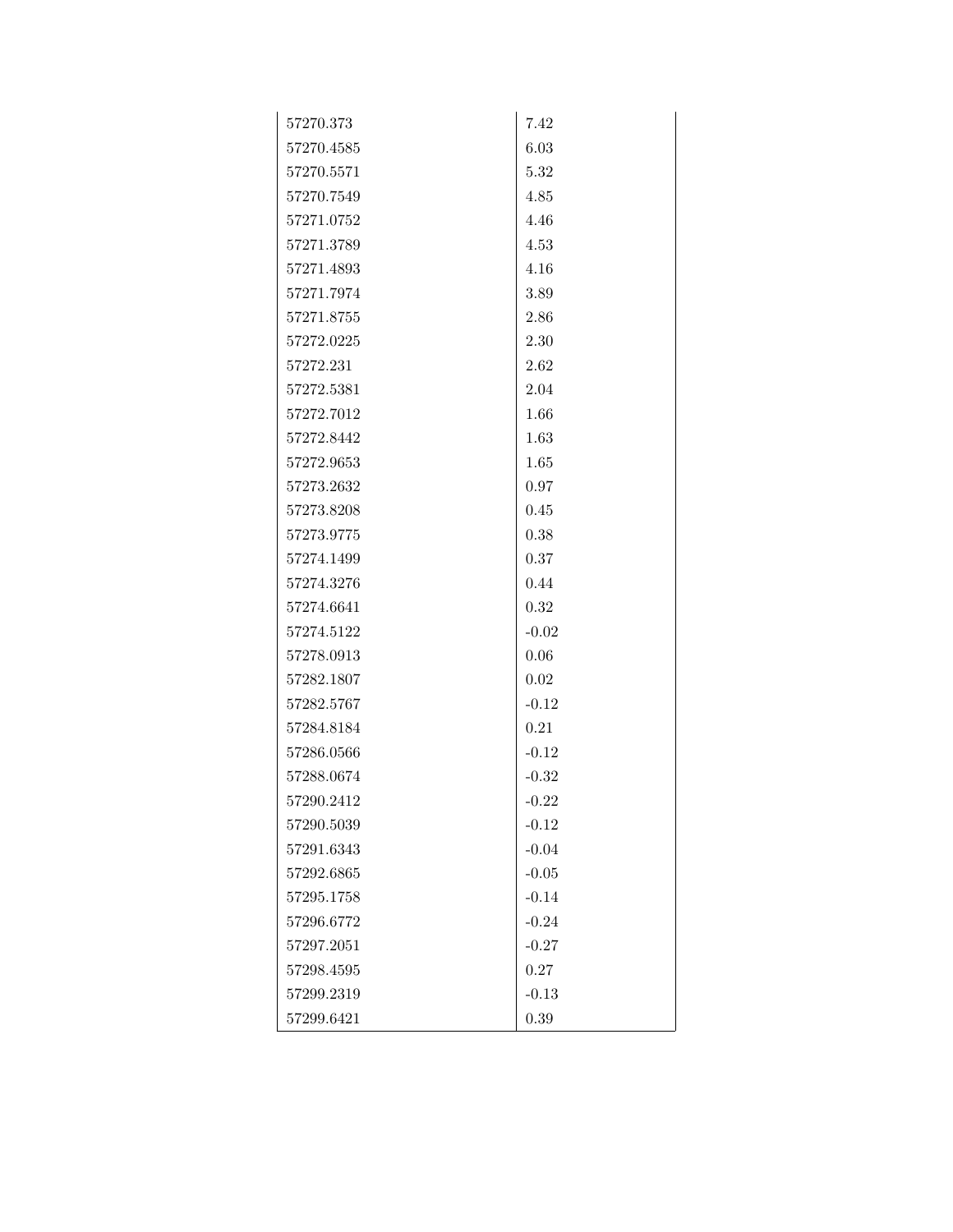| 57270.373  | 7.42    |
|------------|---------|
| 57270.4585 | 6.03    |
| 57270.5571 | 5.32    |
| 57270.7549 | 4.85    |
| 57271.0752 | 4.46    |
| 57271.3789 | 4.53    |
| 57271.4893 | 4.16    |
| 57271.7974 | 3.89    |
| 57271.8755 | 2.86    |
| 57272.0225 | 2.30    |
| 57272.231  | 2.62    |
| 57272.5381 | 2.04    |
| 57272.7012 | 1.66    |
| 57272.8442 | 1.63    |
| 57272.9653 | 1.65    |
| 57273.2632 | 0.97    |
| 57273.8208 | 0.45    |
| 57273.9775 | 0.38    |
| 57274.1499 | 0.37    |
| 57274.3276 | 0.44    |
| 57274.6641 | 0.32    |
| 57274.5122 | $-0.02$ |
| 57278.0913 | 0.06    |
| 57282.1807 | 0.02    |
| 57282.5767 | $-0.12$ |
| 57284.8184 | 0.21    |
| 57286.0566 | $-0.12$ |
| 57288.0674 | $-0.32$ |
| 57290.2412 | $-0.22$ |
| 57290.5039 | $-0.12$ |
| 57291.6343 | $-0.04$ |
| 57292.6865 | $-0.05$ |
| 57295.1758 | $-0.14$ |
| 57296.6772 | $-0.24$ |
| 57297.2051 | $-0.27$ |
| 57298.4595 | 0.27    |
| 57299.2319 | $-0.13$ |
| 57299.6421 | 0.39    |